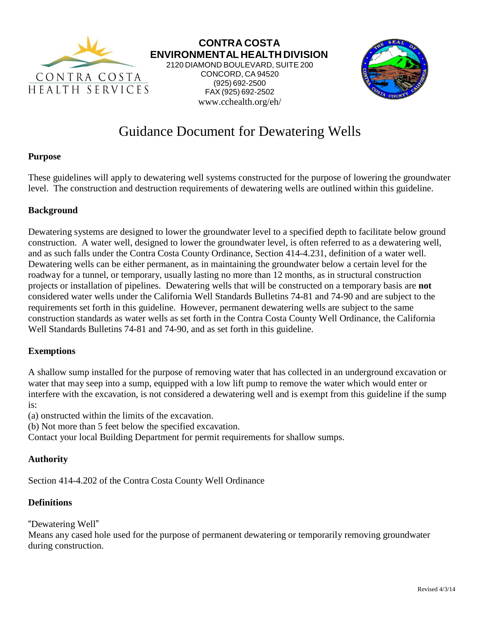

**CONTRA COSTA ENVIRONMENTAL HEALTH DIVISION** 2120 DIAMOND BOULEVARD, SUITE 200 CONCORD, CA 94520 (925) 692-2500 FAX (925) 692-2502



# Guidance Document for Dewatering Wells

www.cchealth.org/eh/

#### **Purpose**

These guidelines will apply to dewatering well systems constructed for the purpose of lowering the groundwater level. The construction and destruction requirements of dewatering wells are outlined within this guideline.

#### **Background**

Dewatering systems are designed to lower the groundwater level to a specified depth to facilitate below ground construction. A water well, designed to lower the groundwater level, is often referred to as a dewatering well, and as such falls under the Contra Costa County Ordinance, Section 414-4.231, definition of a water well. Dewatering wells can be either permanent, as in maintaining the groundwater below a certain level for the roadway for a tunnel, or temporary, usually lasting no more than 12 months, as in structural construction projects or installation of pipelines. Dewatering wells that will be constructed on a temporary basis are **not**  considered water wells under the California Well Standards Bulletins 74-81 and 74-90 and are subject to the requirements set forth in this guideline. However, permanent dewatering wells are subject to the same construction standards as water wells as set forth in the Contra Costa County Well Ordinance, the California Well Standards Bulletins 74-81 and 74-90, and as set forth in this guideline.

#### **Exemptions**

A shallow sump installed for the purpose of removing water that has collected in an underground excavation or water that may seep into a sump, equipped with a low lift pump to remove the water which would enter or interfere with the excavation, is not considered a dewatering well and is exempt from this guideline if the sump is:

(a) onstructed within the limits of the excavation.

(b) Not more than 5 feet below the specified excavation.

Contact your local Building Department for permit requirements for shallow sumps.

# **Authority**

Section 414-4.202 of the Contra Costa County Well Ordinance

#### **Definitions**

"Dewatering Well"

Means any cased hole used for the purpose of permanent dewatering or temporarily removing groundwater during construction.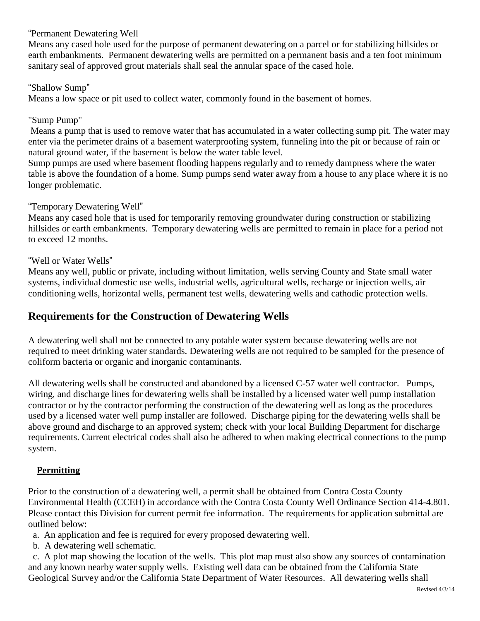## "Permanent Dewatering Well

Means any cased hole used for the purpose of permanent dewatering on a parcel or for stabilizing hillsides or earth embankments. Permanent dewatering wells are permitted on a permanent basis and a ten foot minimum sanitary seal of approved grout materials shall seal the annular space of the cased hole.

#### "Shallow Sump"

Means a low space or pit used to collect water, commonly found in the basement of homes.

## "Sump Pump"

Means a pump that is used to remove water that has accumulated in a water collecting sump pit. The water may enter via the perimeter drains of a basement waterproofing system, funneling into the pit or because of rain or natural ground water, if the basement is below the water table level.

Sump pumps are used where basement flooding happens regularly and to remedy dampness where the water table is above the foundation of a home. Sump pumps send water away from a house to any place where it is no longer problematic.

#### "Temporary Dewatering Well"

Means any cased hole that is used for temporarily removing groundwater during construction or stabilizing hillsides or earth embankments. Temporary dewatering wells are permitted to remain in place for a period not to exceed 12 months.

#### "Well or Water Wells"

Means any well, public or private, including without limitation, wells serving County and State small water systems, individual domestic use wells, industrial wells, agricultural wells, recharge or injection wells, air conditioning wells, horizontal wells, permanent test wells, dewatering wells and cathodic protection wells.

# **Requirements for the Construction of Dewatering Wells**

A dewatering well shall not be connected to any potable water system because dewatering wells are not required to meet drinking water standards. Dewatering wells are not required to be sampled for the presence of coliform bacteria or organic and inorganic contaminants.

All dewatering wells shall be constructed and abandoned by a licensed C-57 water well contractor. Pumps, wiring, and discharge lines for dewatering wells shall be installed by a licensed water well pump installation contractor or by the contractor performing the construction of the dewatering well as long as the procedures used by a licensed water well pump installer are followed. Discharge piping for the dewatering wells shall be above ground and discharge to an approved system; check with your local Building Department for discharge requirements. Current electrical codes shall also be adhered to when making electrical connections to the pump system.

# **Permitting**

Prior to the construction of a dewatering well, a permit shall be obtained from Contra Costa County Environmental Health (CCEH) in accordance with the Contra Costa County Well Ordinance Section 414-4.801. Please contact this Division for current permit fee information. The requirements for application submittal are outlined below:

a. An application and fee is required for every proposed dewatering well.

b. A dewatering well schematic.

c. A plot map showing the location of the wells. This plot map must also show any sources of contamination and any known nearby water supply wells. Existing well data can be obtained from the California State Geological Survey and/or the California State Department of Water Resources. All dewatering wells shall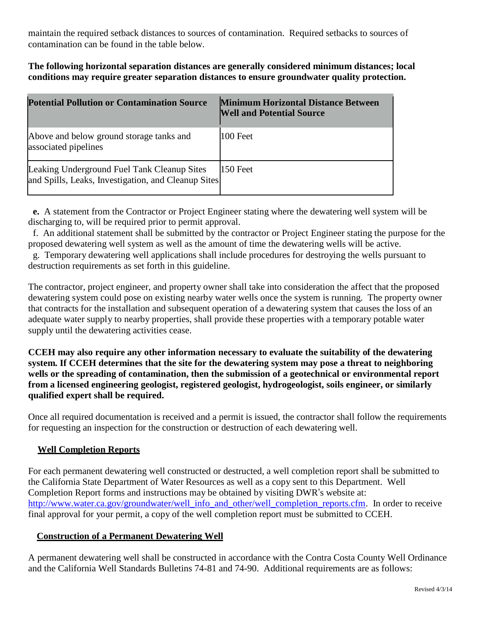maintain the required setback distances to sources of contamination. Required setbacks to sources of contamination can be found in the table below.

#### **The following horizontal separation distances are generally considered minimum distances; local conditions may require greater separation distances to ensure groundwater quality protection.**

| <b>Potential Pollution or Contamination Source</b>                                                 | <b>Minimum Horizontal Distance Between</b><br><b>Well and Potential Source</b> |
|----------------------------------------------------------------------------------------------------|--------------------------------------------------------------------------------|
| Above and below ground storage tanks and<br>associated pipelines                                   | 100 Feet                                                                       |
| Leaking Underground Fuel Tank Cleanup Sites<br>and Spills, Leaks, Investigation, and Cleanup Sites | 150 Feet                                                                       |

**e.** A statement from the Contractor or Project Engineer stating where the dewatering well system will be discharging to, will be required prior to permit approval.

f. An additional statement shall be submitted by the contractor or Project Engineer stating the purpose for the proposed dewatering well system as well as the amount of time the dewatering wells will be active.

g. Temporary dewatering well applications shall include procedures for destroying the wells pursuant to destruction requirements as set forth in this guideline.

The contractor, project engineer, and property owner shall take into consideration the affect that the proposed dewatering system could pose on existing nearby water wells once the system is running. The property owner that contracts for the installation and subsequent operation of a dewatering system that causes the loss of an adequate water supply to nearby properties, shall provide these properties with a temporary potable water supply until the dewatering activities cease.

**CCEH may also require any other information necessary to evaluate the suitability of the dewatering system. If CCEH determines that the site for the dewatering system may pose a threat to neighboring wells or the spreading of contamination, then the submission of a geotechnical or environmental report from a licensed engineering geologist, registered geologist, hydrogeologist, soils engineer, or similarly qualified expert shall be required.**

Once all required documentation is received and a permit is issued, the contractor shall follow the requirements for requesting an inspection for the construction or destruction of each dewatering well.

# **Well Completion Reports**

For each permanent dewatering well constructed or destructed, a well completion report shall be submitted to the California State Department of Water Resources as well as a copy sent to this Department. Well Completion Report forms and instructions may be obtained by visiting DWR's website at: [http://www.water.ca.gov/groundwater/well\\_info\\_and\\_other/well\\_completion\\_reports.cfm. I](http://www.water.ca.gov/groundwater/well_info_and_other/well_completion_reports.cfm)n order to receive final approval for your permit, a copy of the well completion report must be submitted to CCEH.

# **Construction of a Permanent Dewatering Well**

A permanent dewatering well shall be constructed in accordance with the Contra Costa County Well Ordinance and the California Well Standards Bulletins 74-81 and 74-90. Additional requirements are as follows: